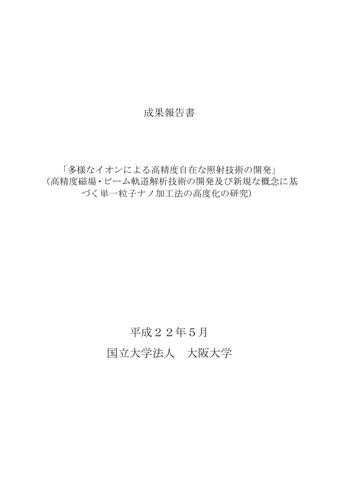## 成果報告書

「多様なイオンによる高精度自在な照射技術の開発」 (高精度磁場・ビーム軌道解析技術の開発及び新規な概念に基 づく単一粒子ナノ加工法の高度化の研究)

## 平成22年5月

国立大学法人 大阪大学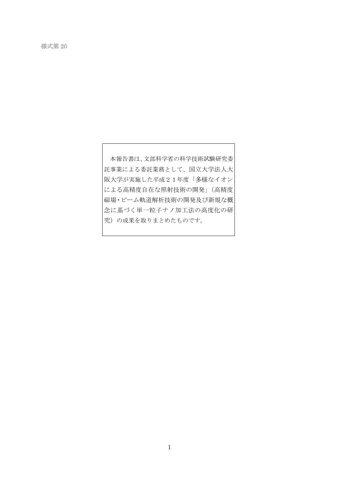本報告書は、文部科学省の科学技術試験研究委 託事業による委託業務として、国立大学法人大 阪大学が実施した平成21年度「多様なイオン による高精度自在な照射技術の開発」(高精度 磁場・ビーム軌道解析技術の開発及び新規な概 念に基づく単一粒子ナノ加工法の高度化の研 究)の成果を取りまとめたものです。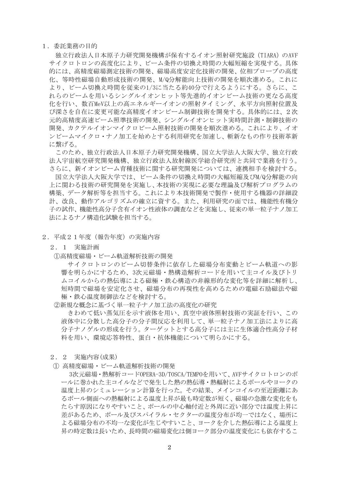1.委託業務の目的

独立行政法人日本原子力研究開発機構が保有するイオン照射研究施設(TIARA)のAVF サイクロトロンの高度化により、ビーム条件の切換え時間の大幅短縮を実現する。具体 的には、高精度磁場測定技術の開発、磁場高度安定化技術の開発、位相プローブの高度 化、等時性磁場自動形成技術の開発、M/Q分解能向上技術の開発を順次進める。これに より、ビーム切換え時間を従来の1/3に当たる約40分で行えるようにする。さらに、こ れらのビームを用いるシングルイオンヒット等先進的イオンビーム技術の更なる高度 化を行い、数百MeV以上の高エネルギーイオンの照射タイミング、水平方向照射位置及 び深さを自在に変更可能な高精度イオンビーム制御技術を開発する。具体的には、2次 元的高精度高速ビーム照準技術の開発、シングルイオンヒット実時間計測・制御技術の 開発、カクテルイオンマイクロビーム照射技術の開発を順次進める。これにより、イオ ンビームマイクロ・ナノ加工を始めとする利用研究を加速し、斬新なもの作り技術革新 に繋げる。

このため、独立行政法人日本原子力研究開発機構、国立大学法人大阪大学、独立行政 法人宇宙航空研究開発機構、独立行政法人放射線医学総合研究所と共同で業務を行う。 さらに、新イオンビーム育種技術に関する研究開発については、連携相手を検討する。 国立大学法人大阪大学では、ビーム条件の切換え時間の大幅短縮及びM/Q分解能の向 上に関わる技術の研究開発を実施し、本技術の実現に必要な理論及び解析プログラムの 構築、データ解析等を担当する。これにより本技術開発で製作・使用する機器の詳細設 計、改良、動作アルゴリズムの確立に資する。また、利用研究の面では、機能性有機分 子の試作、機能性高分子含有イオン性液体の調査などを実施し、従来の単一粒子ナノ加工 法によるナノ構造化試験を担当する。

- 2.平成21年度(報告年度)の実施内容
	- 2.1 実施計画
	- ①高精度磁場・ビーム軌道解析技術の開発

サイクロトロンのビーム切替条件に依存した磁場分布変動とビーム軌道への影 響を明らかにするため、3次元磁場・熱構造解析コードを用いて主コイル及びトリ ムコイルからの熱伝導による磁極・鉄心構造の非線形的な変化等を詳細に解析し、 短時間で磁場を安定化させ、磁場分布の再現性を高めるための電磁石励磁法や磁 極・鉄心温度制御法などを検討する。

②新規な概念に基づく単一粒子ナノ加工法の高度化の研究

きわめて低い蒸気圧を示す液体を用い、真空中液体照射技術の実証を行い、この 液体中に分散した高分子の分子間反応を利用して、単一粒子ナノ加工法によりに高 分子ナノゲルの形成を行う。ターゲットとする高分子には主に生体適合性高分子材 料を用い、環境応答特性、蛋白・抗体機能について明らかにする。

- 2.2 実施内容(成果)
- ① 高精度磁場・ビーム軌道解析技術の開発

3次元磁場・熱解析コードOPERA-3D/TOSCA/TEMPOを用いて、AVFサイクロトロンのポ ールに巻かれた主コイルなどで発生した熱の熱伝導・熱輻射によるポールやヨークの 温度上昇のシミュレーション計算を行った。その結果、メインコイルの至近距離にあ るポール側面への熱輻射による温度上昇が最も時定数が短く、磁場の急激な変化をも たらす原因になりやすいこと、ポールの中心軸付近と外周に近い部分では温度上昇に 差があるため、ポール及びスパイラル・セクターの温度分布が均一ではなく、場所に よる磁場分布の不均一な変化が生じやすいこと、ヨークを介した熱伝導による温度上 昇の時定数は長いため、長時間の磁場変化は側ヨーク部分の温度変化にも依存するこ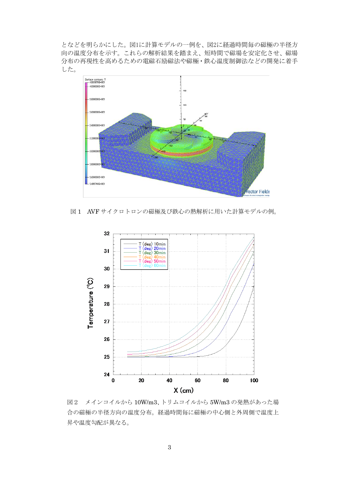となどを明らかにした。図1に計算モデルの一例を、図2に経過時間毎の磁極の半径方 向の温度分布を示す。これらの解析結果を踏まえ、短時間で磁場を安定化させ、磁場 分布の再現性を高めるための電磁石励磁法や磁極・鉄心温度制御法などの開発に着手 した。



図 1 AVF サイクロトロンの磁極及び鉄心の熱解析に用いた計算モデルの例。



図2 メインコイルから 10W/m3、トリムコイルから 5W/m3 の発熱があった場 合の磁極の半径方向の温度分布。経過時間毎に磁極の中心側と外周側で温度上 昇や温度勾配が異なる。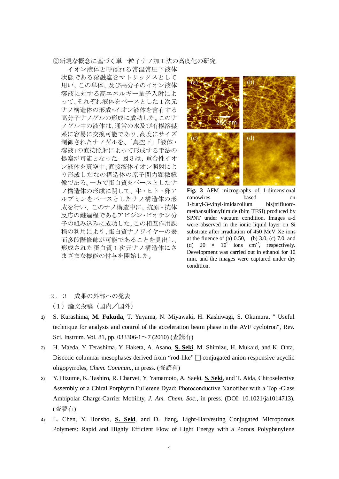## ②新規な概念に基づく単一粒子ナノ加工法の高度化の研究

イオン液体と呼ばれる常温常圧下液体 状態である溶融塩をマトリックスとして 用い、この単体、及び高分子のイオン液体 溶液に対する高エネルギー量子入射によ って、それぞれ液体をベースとした1次元 ナノ構造体の形成・イオン液体を含有する 高分子ナノゲルの形成に成功した。このナ ノゲル中の液体は、通常の水及び有機溶媒 系に容易に交換可能であり、高度にサイズ 制御されたナノゲルを、「真空下」「液体・ 溶液」の直接照射によって形成する手法の 提案が可能となった。図3は、重合性イオ ン液体を真空中、直接液体イオン照射によ り形成したなの構造体の原子間力顕微鏡 像である。一方で蛋白質をベースとしたナ ノ構造体の形成に関して、牛・ヒト・卵ア ルブミンをベースとしたナノ構造体の形 成を行い、このナノ構造中に、抗原・抗体 反応の鍵過程であるアビジン・ビオチン分 子の組み込みに成功した。この相互作用課 程の利用により、蛋白質ナノワイヤーの表 面多段階修飾が可能であることを見出し、 形成された蛋白質1次元ナノ構造体にさ まざまな機能の付与を開始した。



**Fig. 3** AFM micrographs of 1-dimensional nanowires based on 1-butyl-3-vinyl-imidazolium bis(trifluoromethansulfonyl)imide (bim TFSI) produced by SPNT under vacuum condition. Images a-d were observed in the ionic liquid layer on Si substrate after irradiation of 450 MeV Xe ions at the fluence of (a)  $0.50$ , (b)  $3.0$ , (c)  $7.0$ , and (d) 20  $\times$  10<sup>9</sup> ions cm<sup>-2</sup>, respectively. Development was carried out in ethanol for 10 min, and the images were captured under dry condition.

2.3 成果の外部への発表

(1)論文投稿(国内/国外)

- 1) S. Kurashima, *M. Fukuda*, T. Yuyama, N. Miyawaki, H. Kashiwagi, S. Okumura, "Useful technique for analysis and control of the acceleration beam phase in the AVF cyclotron", Rev. Sci. Instrum. Vol. 81, pp. 033306-1~7 (2010) (査読有)
- 2) H. Maeda, Y. Terashima, Y. Haketa, A. Asano, S. Seki, M. Shimizu, H. Mukaid, and K. Ohta, Discotic columnar mesophases derived from "rod-like"  $\Box$ -conjugated anion-responsive acyclic oligopyrroles, *Chem. Commun.*, in press. (査読有)
- 3) Y. Hizume, K. Tashiro, R. Charvet, Y. Yamamoto, A. Saeki, **S. Seki** , and T. Aida, Chiroselective Assembly of a Chiral Porphyrin−Fullerene Dyad: Photoconductive Nanofiber with a Top -Class Ambipolar Charge-Carrier Mobility, *J. Am. Chem. Soc.*, in press. (DOI: 10.1021/ja1014713). (査読有)
- 4) L. Chen, Y. Honsho, **S. Seki**, and D. Jiang, Light-Harvesting Conjugated Microporous Polymers: Rapid and Highly Efficient Flow of Light Energy with a Porous Polyphenylene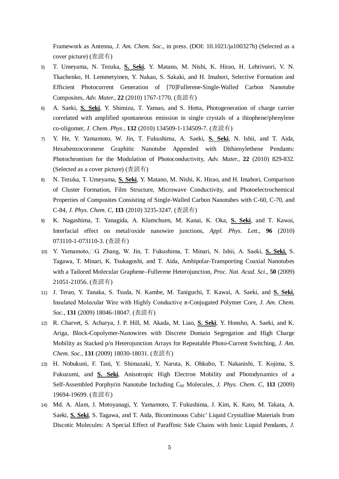Framework as Antenna, *J. Am. Chem. Soc.*, in press. (DOI: 10.1021/ja100327h) (Selected as a cover picture) (査読有)

- 5) T. Umeyama, N. Tezuka, **S. Seki** , Y. Matano, M. Nishi, K. Hirao, H. Lehtivuori, V. N. Tkachenko, H. Lemmetyinen, Y. Nakao, S. Sakaki, and H. Imahori, Selective Formation and Efficient Photocurrent Generation of [70]Fullerene-Single-Walled Carbon Nanotube Composites, *Adv. Mater.*, **22** (2010) 1767-1770. (査読有)
- 6) A. Saeki, **S. Seki** , Y. Shimizu, T. Yamao, and S. Hotta, Photogeneration of charge carrier correlated with amplified spontaneous emission in single crystals of a thiophene/phenylene co-oligomer, *J. Chem. Phys.*, **132** (2010) 134509-1-134509-7. (査読有)
- 7) Y. He, Y. Yamamoto, W. Jin, T. Fukushima, A. Saeki, **S. Seki** , N. Ishii, and T. Aida, Hexabenzocoronene Graphitic Nanotube Appended with Dithienylethene Pendants: Photochromism for the Modulation of Photoconductivity, *Adv. Mater.*, **22** (2010) 829-832. (Selected as a cover picture) (査読有)
- 8) N. Tezuka, T. Umeyama, S. Seki, Y. Matano, M. Nishi, K. Hirao, and H. Imahori, Comparison of Cluster Formation, Film Structure, Microwave Conductivity, and Photoelectrochemical Properties of Composites Consisting of Single-Walled Carbon Nanotubes with C-60, C-70, and C-84, *J. Phys. Chem. C*, **113** (2010) 3235-3247. (査読有)
- 9) K. Nagashima, T. Yanagida, A. Klamchuen, M. Kanai, K. Oka, **S. Seki** , and T. Kawai, Interfacial effect on metal/oxide nanowire junctions, *Appl. Phys. Lett.*, **96** (2010) 073110-1-073110-3. (査読有)
- 10) Y. Yamamoto,□G. Zhang, W. Jin, T. Fukushima, T. Minari, N. Ishii, A. Saeki, S. Seki, S. Tagawa, T. Minari, K. Tsukagoshi, and T. Aida, Ambipolar-Transporting Coaxial Nanotubes with a Tailored Molecular Graphene–Fullerene Heterojunction, *Proc. Nat. Acad. Sci.*, **50** (2009) 21051-21056. (査読有)
- 11) J. Terao, Y. Tanaka, S. Tsuda, N. Kambe, M. Taniguchi, T. Kawai, A. Saeki, and **S. Seki**, Insulated Molecular Wire with Highly Conductive π-Conjugated Polymer Core, *J. Am. Chem. Soc.*, **131** (2009) 18046-18047. (査読有)
- 12) R. Charvet, S. Acharya, J. P. Hill, M. Akada, M. Liao, **S. Seki** , Y. Honsho, A. Saeki, and K. Ariga, Block-Copolymer-Nanowires with Discrete Domain Segregation and High Charge Mobility as Stacked p/n Heterojunction Arrays for Repeatable Photo-Current Switching, *J. Am. Chem. Soc.*, **131** (2009) 18030-18031. (査読有)
- 13) H. Nobukuni, F. Tani, Y. Shimazaki, Y. Naruta, K. Ohkubo, T. Nakanishi, T. Kojima, S. Fukuzumi, and **S. Seki**, Anisotropic High Electron Mobility and Photodynamics of a Self-Assembled Porphyrin Nanotube Including C<sub>60</sub> Molecules, *J. Phys. Chem. C*, 113 (2009) 19694-19699. (査読有)
- 14) Md. A. Alam, J. Motoyanagi, Y. Yamamoto, T. Fukushima, J. Kim, K. Kato, M. Takata, A. Saeki, **S. Seki**, S. Tagawa, and T. Aida, Bicontinuous Cubic' Liquid Crystalline Materials from Discotic Molecules: A Special Effect of Paraffinic Side Chains with Ionic Liquid Pendants, *J.*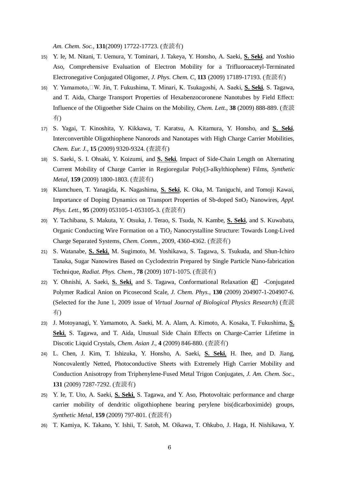*Am. Chem. Soc.*, **131**(2009) 17722-17723. (査読有)

- 15) Y. Ie, M. Nitani, T. Uemura, Y. Tominari, J. Takeya, Y. Honsho, A. Saeki, **S. Seki** , and Yoshio Aso, Comprehensive Evaluation of Electron Mobility for a Trifluoroacetyl-Terminated Electronegative Conjugated Oligomer, *J. Phys. Chem. C*, **113** (2009) 17189-17193. (査読有)
- 16) Y. Yamamoto,□W. Jin, T. Fukushima, T. Minari, K. Tsukagoshi, A. Saeki, S. Seki, S. Tagawa, and T. Aida, Charge Transport Properties of Hexabenzocoronene Nanotubes by Field Effect: Influence of the Oligoether Side Chains on the Mobility, *Chem. Lett.*, **38** (2009) 888-889. (査読 有)
- 17) S. Yagai, T. Kinoshita, Y. Kikkawa, T. Karatsu, A. Kitamura, Y. Honsho, and **S. Seki** , Interconvertible Oligothiophene Nanorods and Nanotapes with High Charge Carrier Mobilities, *Chem. Eur. J.*, **15** (2009) 9320-9324. (査読有)
- 18) S. Saeki, S. I. Ohsaki, Y. Koizumi, and **S. Seki** , Impact of Side-Chain Length on Alternating Current Mobility of Charge Carrier in Regioregular Poly(3-alkylthiophene) Films, *Synthetic Metal*, **159** (2009) 1800-1803. (査読有)
- 19) Klamchuen, T. Yanagida, K. Nagashima, S. Seki, K. Oka, M. Taniguchi, and Tomoji Kawai, Importance of Doping Dynamics on Transport Properties of Sb-doped SnO<sub>2</sub> Nanowires, *Appl. Phys. Lett.*, **95** (2009) 053105-1-053105-3. (査読有)
- 20) Y. Tachibana, S. Makuta, Y. Otsuka, J. Terao, S. Tsuda, N. Kambe, **S. Seki** , and S. Kuwabata, Organic Conducting Wire Formation on a TiO<sub>2</sub> Nanocrystalline Structure: Towards Long-Lived Charge Separated Systems, *Chem. Comm.*, 2009, 4360-4362. (査読有)
- 21) S. Watanabe, **S. Seki**, M. Sugimoto, M. Yoshikawa, S. Tagawa, S. Tsukuda, and Shun-Ichiro Tanaka, Sugar Nanowires Based on Cyclodextrin Prepared by Single Particle Nano-fabrication Technique, *Radiat. Phys. Chem.*, **78** (2009) 1071-1075. (査読有)
- 22) Y. Ohnishi, A. Saeki, S. Seki, and S. Tagawa, Conformational Relaxation of -Conjugated Polymer Radical Anion on Picosecond Scale, *J. Chem. Phys.*, **130** (2009) 204907-1-204907-6. (Selected for the June 1, 2009 issue of *Virtual Journal of Biological Physics Research*) (査読 有)
- 23) J. Motoyanagi, Y. Yamamoto, A. Saeki, M. A. Alam, A. Kimoto, A. Kosaka, T. Fukushima, **S. Seki**, S. Tagawa, and T. Aida, Unusual Side Chain Effects on Charge-Carrier Lifetime in Discotic Liquid Crystals, *Chem. Asian J.*, **4** (2009) 846-880. (査読有)
- 24) L. Chen, J. Kim, T. Ishizuka, Y. Honsho, A. Saeki, **S. Seki**, H. Ihee, and D. Jiang, Noncovalently Netted, Photoconductive Sheets with Extremely High Carrier Mobility and Conduction Anisotropy from Triphenylene-Fused Metal Trigon Conjugates, *J. Am. Chem. Soc.*, **131** (2009) 7287-7292. (査読有)
- 25) Y. Ie, T. Uto, A. Saeki, **S. Seki**, S. Tagawa, and Y. Aso, Photovoltaic performance and charge carrier mobility of dendritic oligothiophene bearing perylene bis(dicarboximide) groups, *Synthetic Metal*, **159** (2009) 797-801. (査読有)
- 26) T. Kamiya, K. Takano, Y. Ishii, T. Satoh, M. Oikawa, T. Ohkubo, J. Haga, H. Nishikawa, Y.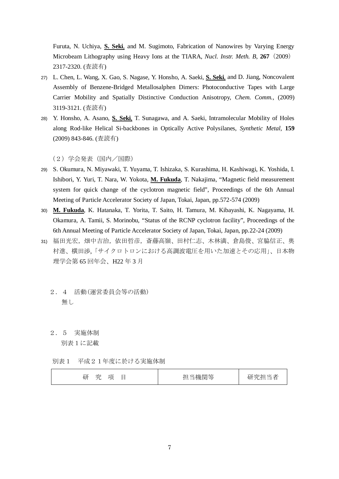Furuta, N. Uchiya, **S. Seki**, and M. Sugimoto, Fabrication of Nanowires by Varying Energy Microbeam Lithography using Heavy Ions at the TIARA, *Nucl. Instr. Meth. B*, **267**(2009) 2317-2320. (査読有)

- 27) L. Chen, L. Wang, X. Gao, S. Nagase, Y. Honsho, A. Saeki, **S. Seki**, and D. Jiang, Noncovalent Assembly of Benzene-Bridged Metallosalphen Dimers: Photoconductive Tapes with Large Carrier Mobility and Spatially Distinctive Conduction Anisotropy, *Chem. Comm.,* (2009) 3119-3121. (査読有)
- 28) Y. Honsho, A. Asano, **S. Seki**, T. Sunagawa, and A. Saeki, Intramolecular Mobility of Holes along Rod-like Helical Si-backbones in Optically Active Polysilanes, *Synthetic Metal*, **159** (2009) 843-846. (査読有)

(2)学会発表(国内/国際)

- 29) S. Okumura, N. Miyawaki, T. Yuyama, T. Ishizaka, S. Kurashima, H. Kashiwagi, K. Yoshida, I. Ishibori, Y. Yuri, T. Nara, W. Yokota, *M. Fukuda*, T. Nakajima, "Magnetic field measurement system for quick change of the cyclotron magnetic field", Proceedings of the 6th Annual Meeting of Particle Accelerator Society of Japan, Tokai, Japan, pp.572-574 (2009)
- 30) **M. Fukuda** , K. Hatanaka, T. Yorita, T. Saito, H. Tamura, M. Kibayashi, K. Nagayama, H. Okamura, A. Tamii, S. Morinobu, "Status of the RCNP cyclotron facility", Proceedings of the 6th Annual Meeting of Particle Accelerator Society of Japan, Tokai, Japan, pp.22-24 (2009)
- 31) 福田光宏,畑中吉治,依田哲彦,斎藤高嶺、田村仁志、木林満、倉島俊、宮脇信正、奥 村進、横田渉,「サイクロトロンにおける高調波電圧を用いた加速とその応用」、日本物 理学会第 65 回年会、H22 年 3 月
	- 2.4 活動(運営委員会等の活動) 無し
	- 2.5 実施体制

別表1に記載

別表1 平成21年度に於ける実施体制

|--|